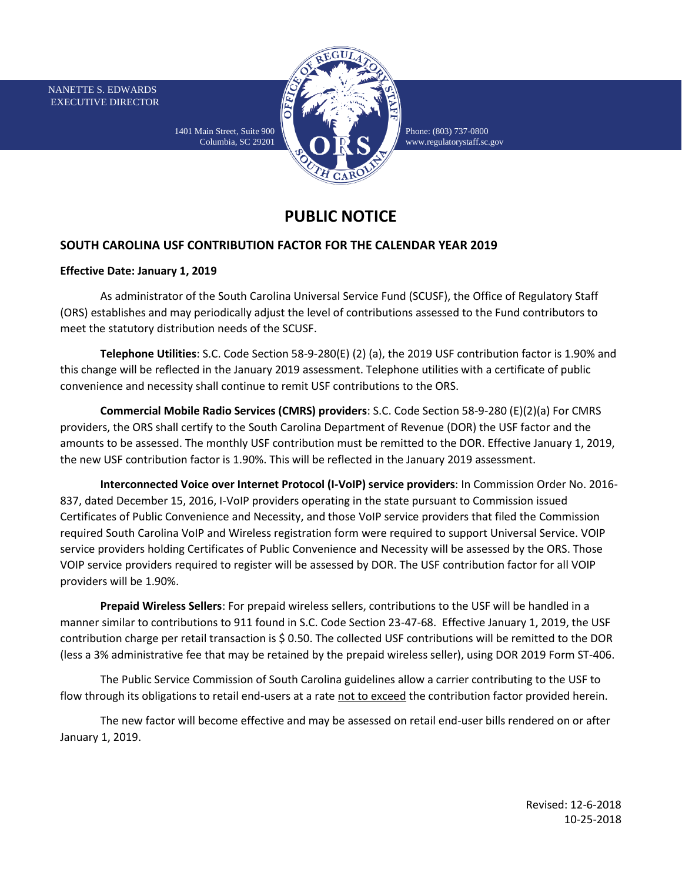NANETTE S. EDWARDS EXECUTIVE DIRECTOR



Phone: (803) 737-0800 [www.regulatorystaff.sc.gov](http://www.regulatorystaff.sc.gov/)

## **PUBLIC NOTICE**

## **SOUTH CAROLINA USF CONTRIBUTION FACTOR FOR THE CALENDAR YEAR 2019**

1401 Main Street, Suite 900 Columbia, SC 29201

## **Effective Date: January 1, 2019**

As administrator of the South Carolina Universal Service Fund (SCUSF), the Office of Regulatory Staff (ORS) establishes and may periodically adjust the level of contributions assessed to the Fund contributors to meet the statutory distribution needs of the SCUSF.

**Telephone Utilities**: S.C. Code Section 58-9-280(E) (2) (a), the 2019 USF contribution factor is 1.90% and this change will be reflected in the January 2019 assessment. Telephone utilities with a certificate of public convenience and necessity shall continue to remit USF contributions to the ORS.

**Commercial Mobile Radio Services (CMRS) providers**: S.C. Code Section 58-9-280 (E)(2)(a) For CMRS providers, the ORS shall certify to the South Carolina Department of Revenue (DOR) the USF factor and the amounts to be assessed. The monthly USF contribution must be remitted to the DOR. Effective January 1, 2019, the new USF contribution factor is 1.90%. This will be reflected in the January 2019 assessment.

**Interconnected Voice over Internet Protocol (I-VoIP) service providers**: In Commission Order No. 2016- 837, dated December 15, 2016, I-VoIP providers operating in the state pursuant to Commission issued Certificates of Public Convenience and Necessity, and those VoIP service providers that filed the Commission required South Carolina VoIP and Wireless registration form were required to support Universal Service. VOIP service providers holding Certificates of Public Convenience and Necessity will be assessed by the ORS. Those VOIP service providers required to register will be assessed by DOR. The USF contribution factor for all VOIP providers will be 1.90%.

**Prepaid Wireless Sellers**: For prepaid wireless sellers, contributions to the USF will be handled in a manner similar to contributions to 911 found in S.C. Code Section 23-47-68. Effective January 1, 2019, the USF contribution charge per retail transaction is \$ 0.50. The collected USF contributions will be remitted to the DOR (less a 3% administrative fee that may be retained by the prepaid wireless seller), using DOR 2019 Form ST-406.

The Public Service Commission of South Carolina guidelines allow a carrier contributing to the USF to flow through its obligations to retail end-users at a rate not to exceed the contribution factor provided herein.

The new factor will become effective and may be assessed on retail end-user bills rendered on or after January 1, 2019.

> Revised: 12-6-2018 10-25-2018